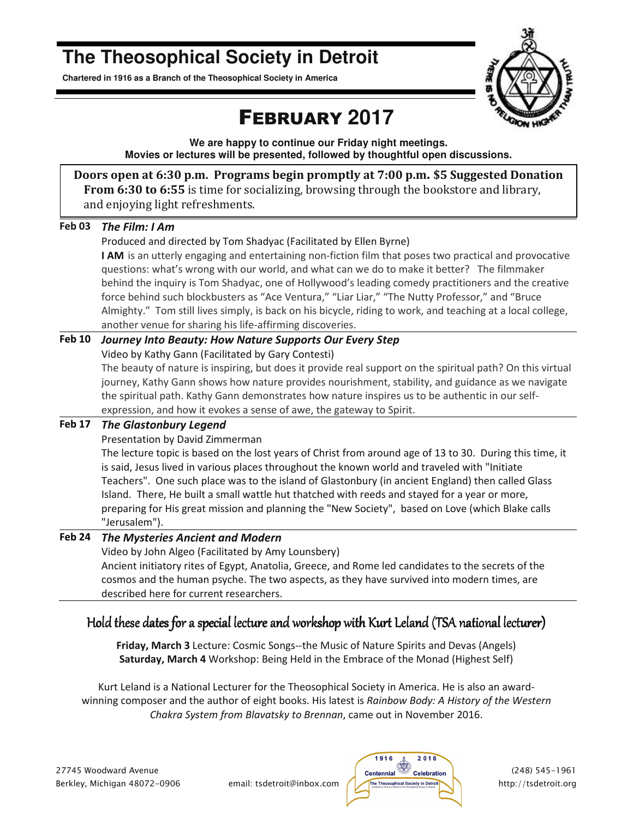# **The Theosophical Society in Detroit**

**Chartered in 1916 as a Branch of the Theosophical Society in America** 



# FEBRUARY **2017**

**We are happy to continue our Friday night meetings. Movies or lectures will be presented, followed by thoughtful open discussions.** 

**Doors open at 6:30 p.m. Programs begin promptly at 7:00 p.m. \$5 Suggested Donation From 6:30 to 6:55** is time for socializing, browsing through the bookstore and library, and enjoying light refreshments.

| <b>Feb 03</b> | The Film: I Am |
|---------------|----------------|
|---------------|----------------|

Produced and directed by Tom Shadyac (Facilitated by Ellen Byrne)

**I AM** is an utterly engaging and entertaining non-fiction film that poses two practical and provocative questions: what's wrong with our world, and what can we do to make it better? The filmmaker behind the inquiry is Tom Shadyac, one of Hollywood's leading comedy practitioners and the creative force behind such blockbusters as "Ace Ventura," "Liar Liar," "The Nutty Professor," and "Bruce Almighty." Tom still lives simply, is back on his bicycle, riding to work, and teaching at a local college, another venue for sharing his life-affirming discoveries.

#### **Feb 10** *Journey Into Beauty: How Nature Supports Our Every Step*

Video by Kathy Gann (Facilitated by Gary Contesti)

The beauty of nature is inspiring, but does it provide real support on the spiritual path? On this virtual journey, Kathy Gann shows how nature provides nourishment, stability, and guidance as we navigate the spiritual path. Kathy Gann demonstrates how nature inspires us to be authentic in our selfexpression, and how it evokes a sense of awe, the gateway to Spirit.

### **Feb 17** *The Glastonbury Legend*

Presentation by David Zimmerman

The lecture topic is based on the lost years of Christ from around age of 13 to 30. During this time, it is said, Jesus lived in various places throughout the known world and traveled with "Initiate Teachers". One such place was to the island of Glastonbury (in ancient England) then called Glass Island. There, He built a small wattle hut thatched with reeds and stayed for a year or more, preparing for His great mission and planning the "New Society", based on Love (which Blake calls "Jerusalem").

### **Feb 24** *The Mysteries Ancient and Modern*

Video by John Algeo (Facilitated by Amy Lounsbery) Ancient initiatory rites of Egypt, Anatolia, Greece, and Rome led candidates to the secrets of the cosmos and the human psyche. The two aspects, as they have survived into modern times, are described here for current researchers.

### Hold these dates for a special lecture and workshop with Kurt Leland (TSA national lecturer)

**Friday, March 3** Lecture: Cosmic Songs--the Music of Nature Spirits and Devas (Angels) **Saturday, March 4** Workshop: Being Held in the Embrace of the Monad (Highest Self)

Kurt Leland is a National Lecturer for the Theosophical Society in America. He is also an awardwinning composer and the author of eight books. His latest is *Rainbow Body: A History of the Western Chakra System from Blavatsky to Brennan*, came out in November 2016.